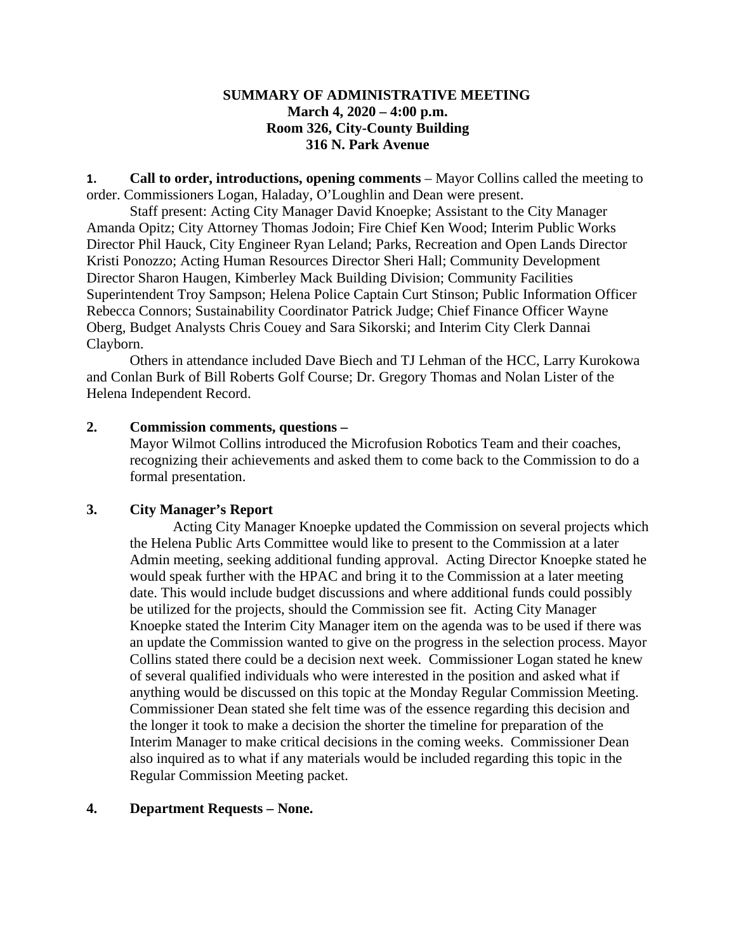### **SUMMARY OF ADMINISTRATIVE MEETING March 4, 2020 – 4:00 p.m. Room 326, City-County Building 316 N. Park Avenue**

**1. Call to order, introductions, opening comments** – Mayor Collins called the meeting to order. Commissioners Logan, Haladay, O'Loughlin and Dean were present.

Staff present: Acting City Manager David Knoepke; Assistant to the City Manager Amanda Opitz; City Attorney Thomas Jodoin; Fire Chief Ken Wood; Interim Public Works Director Phil Hauck, City Engineer Ryan Leland; Parks, Recreation and Open Lands Director Kristi Ponozzo; Acting Human Resources Director Sheri Hall; Community Development Director Sharon Haugen, Kimberley Mack Building Division; Community Facilities Superintendent Troy Sampson; Helena Police Captain Curt Stinson; Public Information Officer Rebecca Connors; Sustainability Coordinator Patrick Judge; Chief Finance Officer Wayne Oberg, Budget Analysts Chris Couey and Sara Sikorski; and Interim City Clerk Dannai Clayborn.

Others in attendance included Dave Biech and TJ Lehman of the HCC, Larry Kurokowa and Conlan Burk of Bill Roberts Golf Course; Dr. Gregory Thomas and Nolan Lister of the Helena Independent Record.

#### **2. Commission comments, questions –**

Mayor Wilmot Collins introduced the Microfusion Robotics Team and their coaches, recognizing their achievements and asked them to come back to the Commission to do a formal presentation.

# **3. City Manager's Report**

Acting City Manager Knoepke updated the Commission on several projects which the Helena Public Arts Committee would like to present to the Commission at a later Admin meeting, seeking additional funding approval. Acting Director Knoepke stated he would speak further with the HPAC and bring it to the Commission at a later meeting date. This would include budget discussions and where additional funds could possibly be utilized for the projects, should the Commission see fit. Acting City Manager Knoepke stated the Interim City Manager item on the agenda was to be used if there was an update the Commission wanted to give on the progress in the selection process. Mayor Collins stated there could be a decision next week. Commissioner Logan stated he knew of several qualified individuals who were interested in the position and asked what if anything would be discussed on this topic at the Monday Regular Commission Meeting. Commissioner Dean stated she felt time was of the essence regarding this decision and the longer it took to make a decision the shorter the timeline for preparation of the Interim Manager to make critical decisions in the coming weeks. Commissioner Dean also inquired as to what if any materials would be included regarding this topic in the Regular Commission Meeting packet.

#### **4. Department Requests – None.**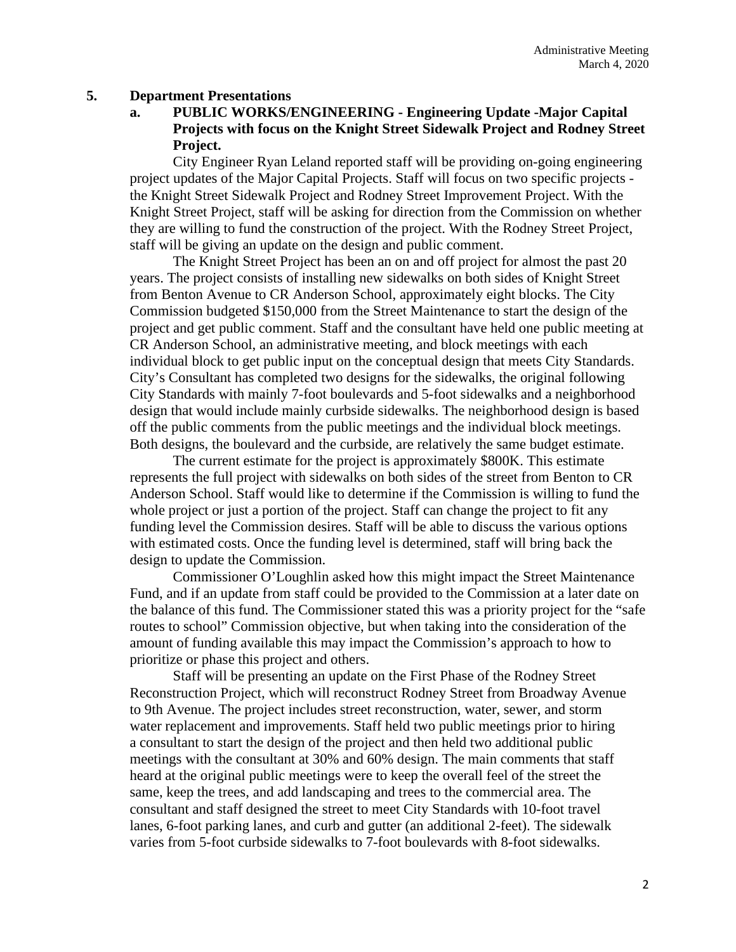#### **5. Department Presentations**

**a. PUBLIC WORKS/ENGINEERING - Engineering Update -Major Capital Projects with focus on the Knight Street Sidewalk Project and Rodney Street Project.**

City Engineer Ryan Leland reported staff will be providing on-going engineering project updates of the Major Capital Projects. Staff will focus on two specific projects the Knight Street Sidewalk Project and Rodney Street Improvement Project. With the Knight Street Project, staff will be asking for direction from the Commission on whether they are willing to fund the construction of the project. With the Rodney Street Project, staff will be giving an update on the design and public comment.

The Knight Street Project has been an on and off project for almost the past 20 years. The project consists of installing new sidewalks on both sides of Knight Street from Benton Avenue to CR Anderson School, approximately eight blocks. The City Commission budgeted \$150,000 from the Street Maintenance to start the design of the project and get public comment. Staff and the consultant have held one public meeting at CR Anderson School, an administrative meeting, and block meetings with each individual block to get public input on the conceptual design that meets City Standards. City's Consultant has completed two designs for the sidewalks, the original following City Standards with mainly 7-foot boulevards and 5-foot sidewalks and a neighborhood design that would include mainly curbside sidewalks. The neighborhood design is based off the public comments from the public meetings and the individual block meetings. Both designs, the boulevard and the curbside, are relatively the same budget estimate.

The current estimate for the project is approximately \$800K. This estimate represents the full project with sidewalks on both sides of the street from Benton to CR Anderson School. Staff would like to determine if the Commission is willing to fund the whole project or just a portion of the project. Staff can change the project to fit any funding level the Commission desires. Staff will be able to discuss the various options with estimated costs. Once the funding level is determined, staff will bring back the design to update the Commission.

Commissioner O'Loughlin asked how this might impact the Street Maintenance Fund, and if an update from staff could be provided to the Commission at a later date on the balance of this fund. The Commissioner stated this was a priority project for the "safe routes to school" Commission objective, but when taking into the consideration of the amount of funding available this may impact the Commission's approach to how to prioritize or phase this project and others.

Staff will be presenting an update on the First Phase of the Rodney Street Reconstruction Project, which will reconstruct Rodney Street from Broadway Avenue to 9th Avenue. The project includes street reconstruction, water, sewer, and storm water replacement and improvements. Staff held two public meetings prior to hiring a consultant to start the design of the project and then held two additional public meetings with the consultant at 30% and 60% design. The main comments that staff heard at the original public meetings were to keep the overall feel of the street the same, keep the trees, and add landscaping and trees to the commercial area. The consultant and staff designed the street to meet City Standards with 10-foot travel lanes, 6-foot parking lanes, and curb and gutter (an additional 2-feet). The sidewalk varies from 5-foot curbside sidewalks to 7-foot boulevards with 8-foot sidewalks.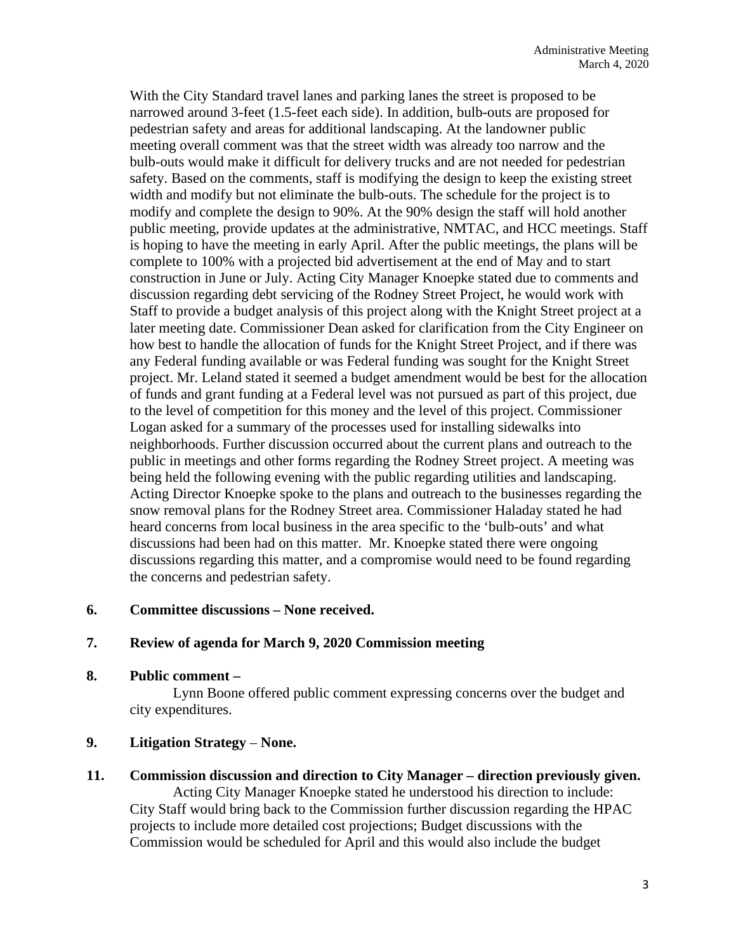With the City Standard travel lanes and parking lanes the street is proposed to be narrowed around 3-feet (1.5-feet each side). In addition, bulb-outs are proposed for pedestrian safety and areas for additional landscaping. At the landowner public meeting overall comment was that the street width was already too narrow and the bulb-outs would make it difficult for delivery trucks and are not needed for pedestrian safety. Based on the comments, staff is modifying the design to keep the existing street width and modify but not eliminate the bulb-outs. The schedule for the project is to modify and complete the design to 90%. At the 90% design the staff will hold another public meeting, provide updates at the administrative, NMTAC, and HCC meetings. Staff is hoping to have the meeting in early April. After the public meetings, the plans will be complete to 100% with a projected bid advertisement at the end of May and to start construction in June or July. Acting City Manager Knoepke stated due to comments and discussion regarding debt servicing of the Rodney Street Project, he would work with Staff to provide a budget analysis of this project along with the Knight Street project at a later meeting date. Commissioner Dean asked for clarification from the City Engineer on how best to handle the allocation of funds for the Knight Street Project, and if there was any Federal funding available or was Federal funding was sought for the Knight Street project. Mr. Leland stated it seemed a budget amendment would be best for the allocation of funds and grant funding at a Federal level was not pursued as part of this project, due to the level of competition for this money and the level of this project. Commissioner Logan asked for a summary of the processes used for installing sidewalks into neighborhoods. Further discussion occurred about the current plans and outreach to the public in meetings and other forms regarding the Rodney Street project. A meeting was being held the following evening with the public regarding utilities and landscaping. Acting Director Knoepke spoke to the plans and outreach to the businesses regarding the snow removal plans for the Rodney Street area. Commissioner Haladay stated he had heard concerns from local business in the area specific to the 'bulb-outs' and what discussions had been had on this matter. Mr. Knoepke stated there were ongoing discussions regarding this matter, and a compromise would need to be found regarding the concerns and pedestrian safety.

## **6. Committee discussions – None received.**

#### **7. Review of agenda for March 9, 2020 Commission meeting**

**8. Public comment –**

Lynn Boone offered public comment expressing concerns over the budget and city expenditures.

## **9. Litigation Strategy** – **None.**

**11. Commission discussion and direction to City Manager – direction previously given.** Acting City Manager Knoepke stated he understood his direction to include: City Staff would bring back to the Commission further discussion regarding the HPAC projects to include more detailed cost projections; Budget discussions with the Commission would be scheduled for April and this would also include the budget